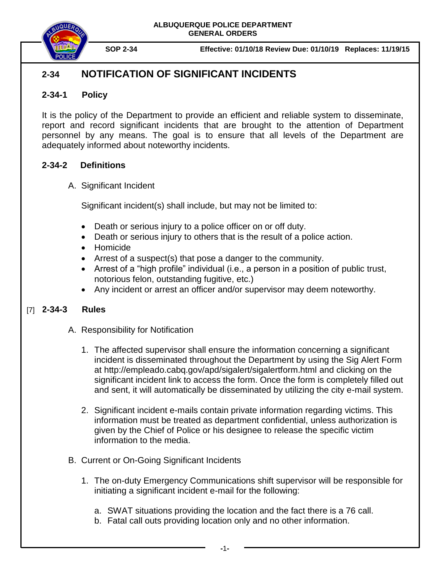

**SOP 2-34 Effective: 01/10/18 Review Due: 01/10/19 Replaces: 11/19/15**

# **2-34 NOTIFICATION OF SIGNIFICANT INCIDENTS**

### **2-34-1 Policy**

It is the policy of the Department to provide an efficient and reliable system to disseminate, report and record significant incidents that are brought to the attention of Department personnel by any means. The goal is to ensure that all levels of the Department are adequately informed about noteworthy incidents.

#### **2-34-2 Definitions**

A. Significant Incident

Significant incident(s) shall include, but may not be limited to:

- Death or serious injury to a police officer on or off duty.
- Death or serious injury to others that is the result of a police action.
- Homicide
- Arrest of a suspect(s) that pose a danger to the community.
- Arrest of a "high profile" individual (i.e., a person in a position of public trust, notorious felon, outstanding fugitive, etc.)
- Any incident or arrest an officer and/or supervisor may deem noteworthy.

## **2-34-3 Rules** [7]

- A. Responsibility for Notification
	- 1. The affected supervisor shall ensure the information concerning a significant incident is disseminated throughout the Department by using the Sig Alert Form at http://empleado.cabq.gov/apd/sigalert/sigalertform.html and clicking on the significant incident link to access the form. Once the form is completely filled out and sent, it will automatically be disseminated by utilizing the city e-mail system.
	- 2. Significant incident e-mails contain private information regarding victims. This information must be treated as department confidential, unless authorization is given by the Chief of Police or his designee to release the specific victim information to the media.
- B. Current or On-Going Significant Incidents
	- 1. The on-duty Emergency Communications shift supervisor will be responsible for initiating a significant incident e-mail for the following:
		- a. SWAT situations providing the location and the fact there is a 76 call.
		- b. Fatal call outs providing location only and no other information.